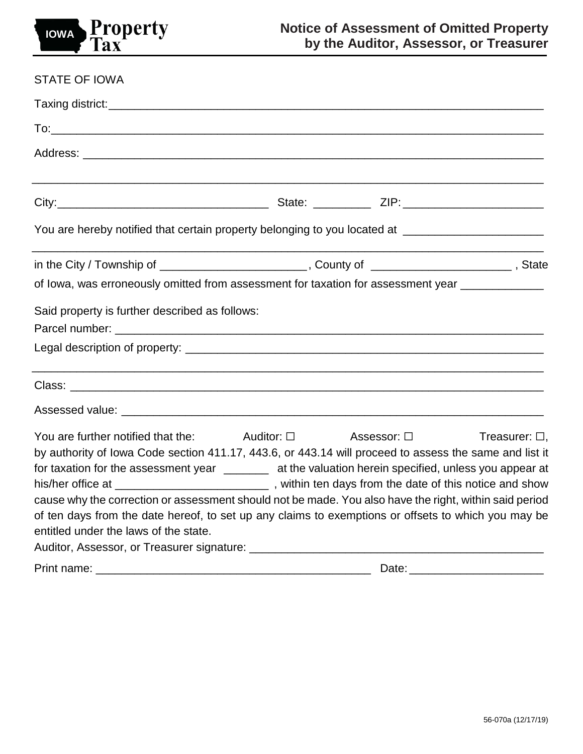

| <b>STATE OF IOWA</b>                                                                                                                                                                                                                                                                                                                                                                                                                                                                                                                                                                                                                                                                     |  |  |  |
|------------------------------------------------------------------------------------------------------------------------------------------------------------------------------------------------------------------------------------------------------------------------------------------------------------------------------------------------------------------------------------------------------------------------------------------------------------------------------------------------------------------------------------------------------------------------------------------------------------------------------------------------------------------------------------------|--|--|--|
|                                                                                                                                                                                                                                                                                                                                                                                                                                                                                                                                                                                                                                                                                          |  |  |  |
|                                                                                                                                                                                                                                                                                                                                                                                                                                                                                                                                                                                                                                                                                          |  |  |  |
|                                                                                                                                                                                                                                                                                                                                                                                                                                                                                                                                                                                                                                                                                          |  |  |  |
|                                                                                                                                                                                                                                                                                                                                                                                                                                                                                                                                                                                                                                                                                          |  |  |  |
| You are hereby notified that certain property belonging to you located at _________________________                                                                                                                                                                                                                                                                                                                                                                                                                                                                                                                                                                                      |  |  |  |
| in the City / Township of ____________________________, County of ___________________________, State                                                                                                                                                                                                                                                                                                                                                                                                                                                                                                                                                                                     |  |  |  |
| of lowa, was erroneously omitted from assessment for taxation for assessment year ______________                                                                                                                                                                                                                                                                                                                                                                                                                                                                                                                                                                                         |  |  |  |
| Said property is further described as follows:                                                                                                                                                                                                                                                                                                                                                                                                                                                                                                                                                                                                                                           |  |  |  |
|                                                                                                                                                                                                                                                                                                                                                                                                                                                                                                                                                                                                                                                                                          |  |  |  |
|                                                                                                                                                                                                                                                                                                                                                                                                                                                                                                                                                                                                                                                                                          |  |  |  |
|                                                                                                                                                                                                                                                                                                                                                                                                                                                                                                                                                                                                                                                                                          |  |  |  |
| You are further notified that the: $\Box$ Auditor: $\Box$ Assessor: $\Box$ Treasurer: $\Box$ ,<br>by authority of Iowa Code section 411.17, 443.6, or 443.14 will proceed to assess the same and list it<br>for taxation for the assessment year _______ at the valuation herein specified, unless you appear at<br>his/her office at _________________________________, within ten days from the date of this notice and show<br>cause why the correction or assessment should not be made. You also have the right, within said period<br>of ten days from the date hereof, to set up any claims to exemptions or offsets to which you may be<br>entitled under the laws of the state. |  |  |  |
|                                                                                                                                                                                                                                                                                                                                                                                                                                                                                                                                                                                                                                                                                          |  |  |  |